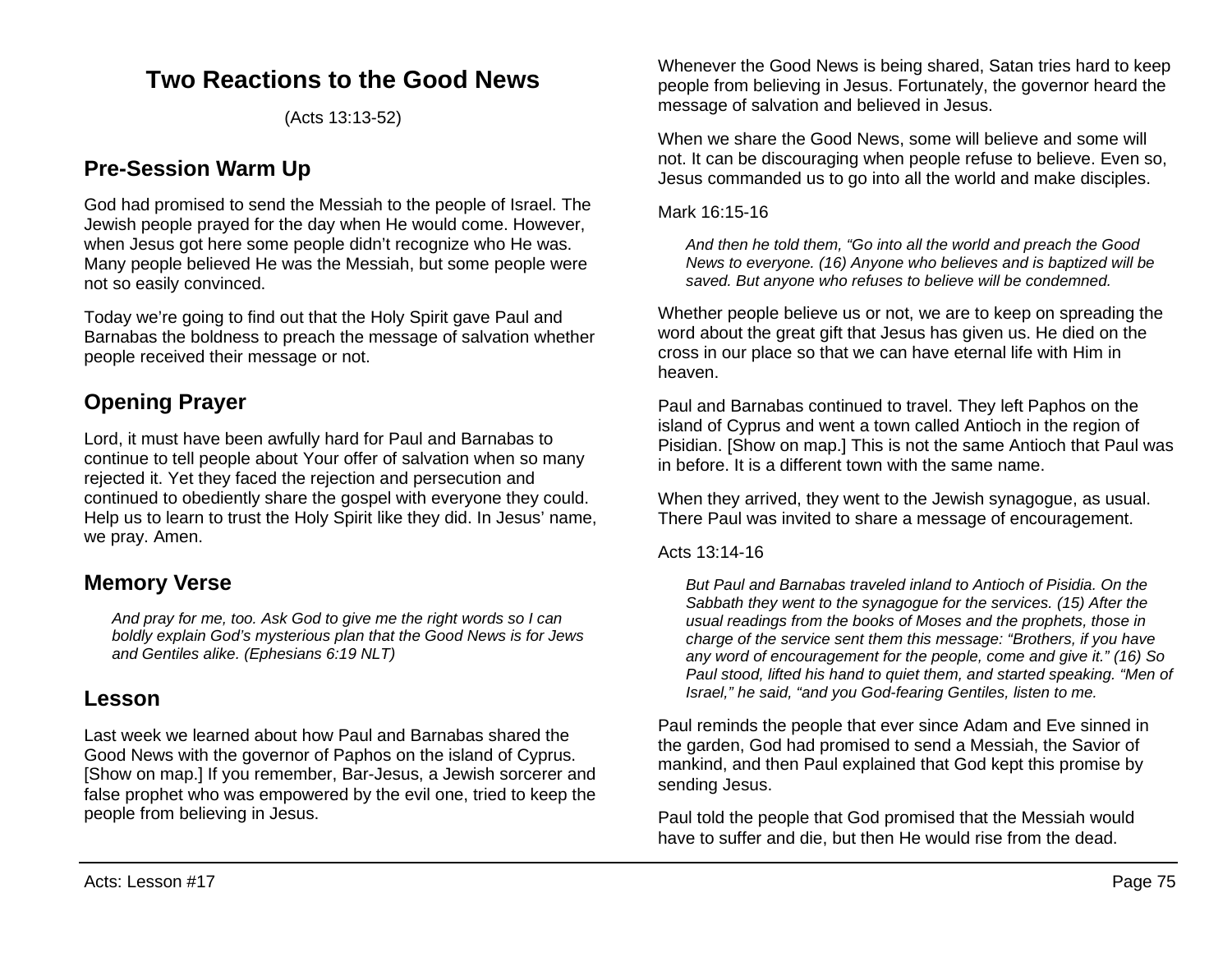# **Two Reactions to the Good News**

(Acts 13:13-52)

## **Pre-Session Warm Up**

God had promised to send the Messiah to the people of Israel. The Jewish people prayed for the day when He would come. However, when Jesus got here some people didn't recognize who He was. Many people believed He was the Messiah, but some people were not so easily convinced.

Today we're going to find out that the Holy Spirit gave Paul and Barnabas the boldness to preach the message of salvation whether people received their message or not.

## **Opening Prayer**

Lord, it must have been awfully hard for Paul and Barnabas to continue to tell people about Your offer of salvation when so many rejected it. Yet they faced the rejection and persecution and continued to obediently share the gospel with everyone they could. Help us to learn to trust the Holy Spirit like they did. In Jesus' name, we pray. Amen.

### **Memory Verse**

*And pray for me, too. Ask God to give me the right words so I can boldly explain God's mysterious plan that the Good News is for Jews and Gentiles alike. (Ephesians 6:19 NLT)*

### **Lesson**

Last week we learned about how Paul and Barnabas shared the Good News with the governor of Paphos on the island of Cyprus. [Show on map.] If you remember, Bar-Jesus, a Jewish sorcerer and false prophet who was empowered by the evil one, tried to keep the people from believing in Jesus.

Whenever the Good News is being shared, Satan tries hard to keep people from believing in Jesus. Fortunately, the governor heard the message of salvation and believed in Jesus.

When we share the Good News, some will believe and some will not. It can be discouraging when people refuse to believe. Even so, Jesus commanded us to go into all the world and make disciples.

Mark 16:15-16

*And then he told them, "Go into all the world and preach the Good News to everyone. (16) Anyone who believes and is baptized will be saved. But anyone who refuses to believe will be condemned.*

Whether people believe us or not, we are to keep on spreading the word about the great gift that Jesus has given us. He died on the cross in our place so that we can have eternal life with Him in heaven.

Paul and Barnabas continued to travel. They left Paphos on the island of Cyprus and went a town called Antioch in the region of Pisidian. [Show on map.] This is not the same Antioch that Paul was in before. It is a different town with the same name.

When they arrived, they went to the Jewish synagogue, as usual. There Paul was invited to share a message of encouragement.

Acts 13:14-16

*But Paul and Barnabas traveled inland to Antioch of Pisidia. On the Sabbath they went to the synagogue for the services. (15) After the usual readings from the books of Moses and the prophets, those in charge of the service sent them this message: "Brothers, if you have any word of encouragement for the people, come and give it." (16) So Paul stood, lifted his hand to quiet them, and started speaking. "Men of Israel," he said, "and you God-fearing Gentiles, listen to me.*

Paul reminds the people that ever since Adam and Eve sinned in the garden, God had promised to send a Messiah, the Savior of mankind, and then Paul explained that God kept this promise by sending Jesus.

Paul told the people that God promised that the Messiah would have to suffer and die, but then He would rise from the dead.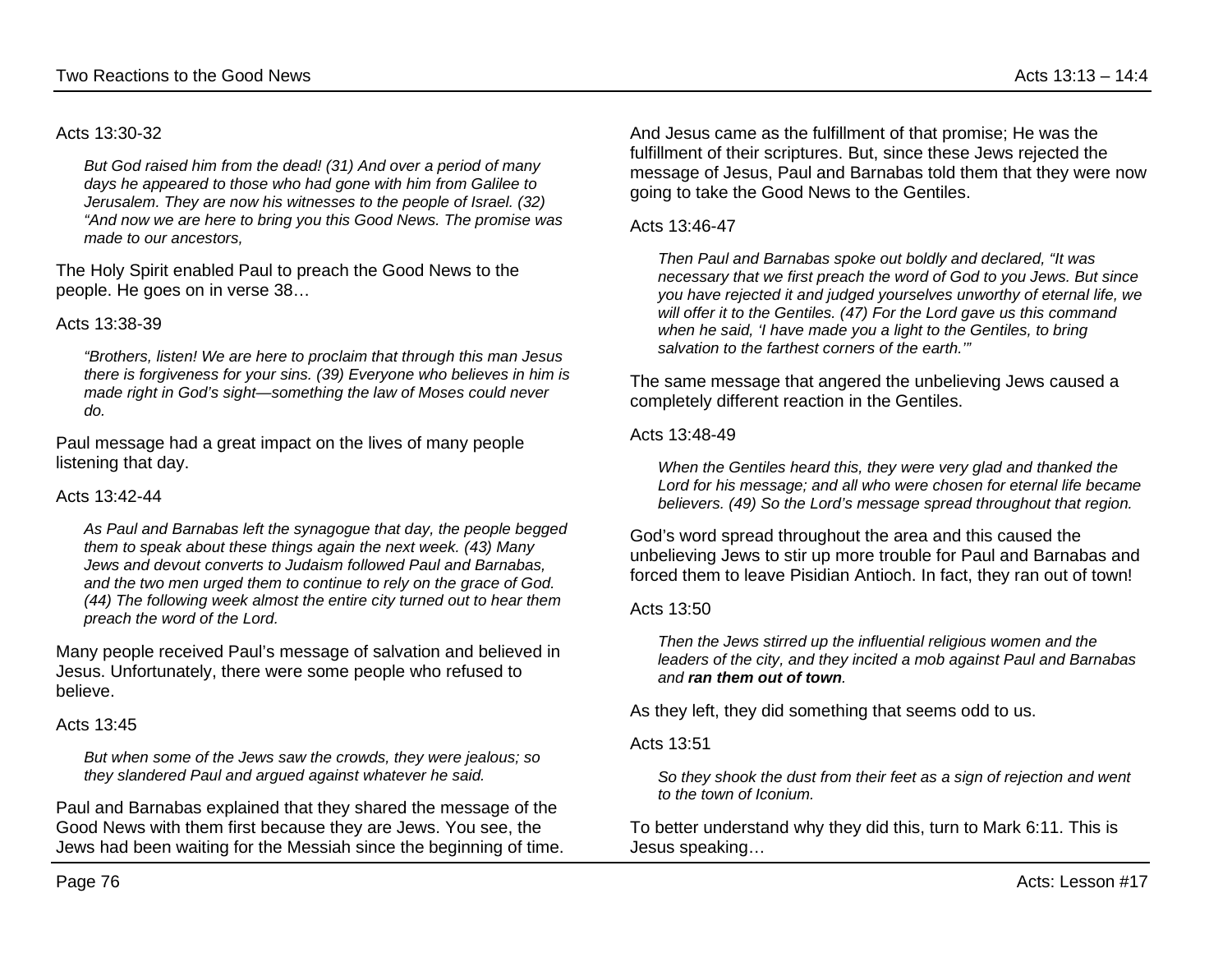*But God raised him from the dead! (31) And over a period of many days he appeared to those who had gone with him from Galilee to Jerusalem. They are now his witnesses to the people of Israel. (32) "And now we are here to bring you this Good News. The promise was made to our ancestors,* 

The Holy Spirit enabled Paul to preach the Good News to the people. He goes on in verse 38…

#### Acts 13:38-39

*"Brothers, listen! We are here to proclaim that through this man Jesus there is forgiveness for your sins. (39) Everyone who believes in him is made right in God's sight—something the law of Moses could never do.*

Paul message had a great impact on the lives of many people listening that day.

#### Acts 13:42-44

*As Paul and Barnabas left the synagogue that day, the people begged them to speak about these things again the next week. (43) Many Jews and devout converts to Judaism followed Paul and Barnabas, and the two men urged them to continue to rely on the grace of God. (44) The following week almost the entire city turned out to hear them preach the word of the Lord.*

Many people received Paul's message of salvation and believed in Jesus. Unfortunately, there were some people who refused to believe.

#### Acts 13:45

*But when some of the Jews saw the crowds, they were jealous; so they slandered Paul and argued against whatever he said.*

Paul and Barnabas explained that they shared the message of the Good News with them first because they are Jews. You see, the Jews had been waiting for the Messiah since the beginning of time. And Jesus came as the fulfillment of that promise; He was the fulfillment of their scriptures. But, since these Jews rejected the message of Jesus, Paul and Barnabas told them that they were now going to take the Good News to the Gentiles.

#### Acts 13:46-47

*Then Paul and Barnabas spoke out boldly and declared, "It was necessary that we first preach the word of God to you Jews. But since you have rejected it and judged yourselves unworthy of eternal life, we will offer it to the Gentiles. (47) For the Lord gave us this command when he said, 'I have made you a light to the Gentiles, to bring salvation to the farthest corners of the earth.'"*

The same message that angered the unbelieving Jews caused a completely different reaction in the Gentiles.

#### Acts 13:48-49

*When the Gentiles heard this, they were very glad and thanked the Lord for his message; and all who were chosen for eternal life became believers. (49) So the Lord's message spread throughout that region.*

God's word spread throughout the area and this caused the unbelieving Jews to stir up more trouble for Paul and Barnabas and forced them to leave Pisidian Antioch. In fact, they ran out of town!

#### Acts 13:50

*Then the Jews stirred up the influential religious women and the leaders of the city, and they incited a mob against Paul and Barnabas and ran them out of town.*

As they left, they did something that seems odd to us.

### Acts 13:51

*So they shook the dust from their feet as a sign of rejection and went to the town of Iconium.*

To better understand why they did this, turn to Mark 6:11. This is Jesus speaking…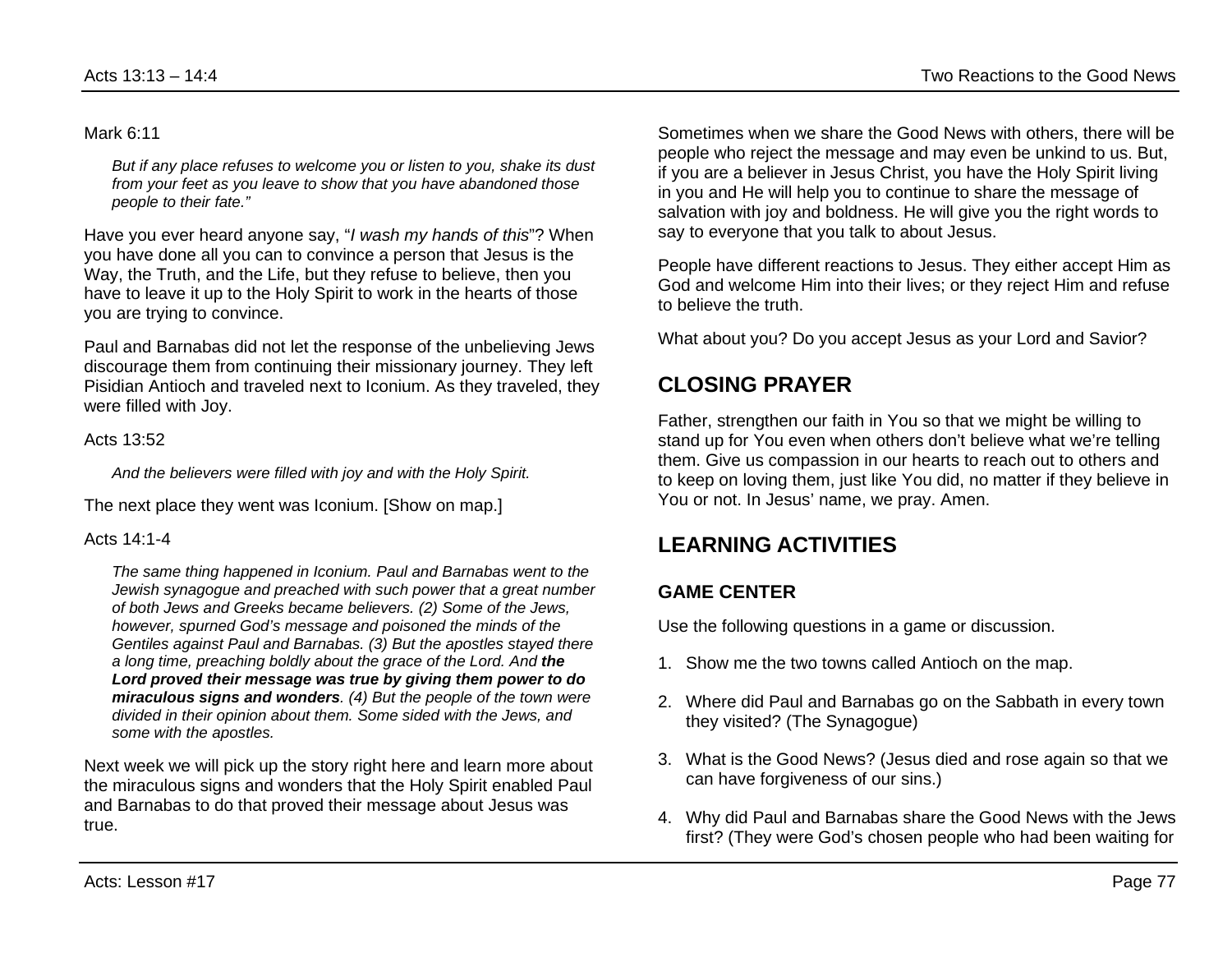#### Mark 6:11

*But if any place refuses to welcome you or listen to you, shake its dust from your feet as you leave to show that you have abandoned those people to their fate."*

Have you ever heard anyone say, "*I wash my hands of this*"? When you have done all you can to convince a person that Jesus is the Way, the Truth, and the Life, but they refuse to believe, then you have to leave it up to the Holy Spirit to work in the hearts of those you are trying to convince.

Paul and Barnabas did not let the response of the unbelieving Jews discourage them from continuing their missionary journey. They left Pisidian Antioch and traveled next to Iconium. As they traveled, they were filled with Joy.

#### Acts 13:52

*And the believers were filled with joy and with the Holy Spirit.*

The next place they went was Iconium. [Show on map.]

#### Acts 14:1-4

*The same thing happened in Iconium. Paul and Barnabas went to the Jewish synagogue and preached with such power that a great number of both Jews and Greeks became believers. (2) Some of the Jews, however, spurned God's message and poisoned the minds of the Gentiles against Paul and Barnabas. (3) But the apostles stayed there a long time, preaching boldly about the grace of the Lord. And the Lord proved their message was true by giving them power to do miraculous signs and wonders. (4) But the people of the town were divided in their opinion about them. Some sided with the Jews, and some with the apostles.*

Next week we will pick up the story right here and learn more about the miraculous signs and wonders that the Holy Spirit enabled Paul and Barnabas to do that proved their message about Jesus was true.

Sometimes when we share the Good News with others, there will be people who reject the message and may even be unkind to us. But, if you are a believer in Jesus Christ, you have the Holy Spirit living in you and He will help you to continue to share the message of salvation with joy and boldness. He will give you the right words to say to everyone that you talk to about Jesus.

People have different reactions to Jesus. They either accept Him as God and welcome Him into their lives; or they reject Him and refuse to believe the truth.

What about you? Do you accept Jesus as your Lord and Savior?

# **CLOSING PRAYER**

Father, strengthen our faith in You so that we might be willing to stand up for You even when others don't believe what we're telling them. Give us compassion in our hearts to reach out to others and to keep on loving them, just like You did, no matter if they believe in You or not. In Jesus' name, we pray. Amen.

## **LEARNING ACTIVITIES**

### **GAME CENTER**

Use the following questions in a game or discussion.

- 1. Show me the two towns called Antioch on the map.
- 2. Where did Paul and Barnabas go on the Sabbath in every town they visited? (The Synagogue)
- 3. What is the Good News? (Jesus died and rose again so that we can have forgiveness of our sins.)
- 4. Why did Paul and Barnabas share the Good News with the Jews first? (They were God's chosen people who had been waiting for